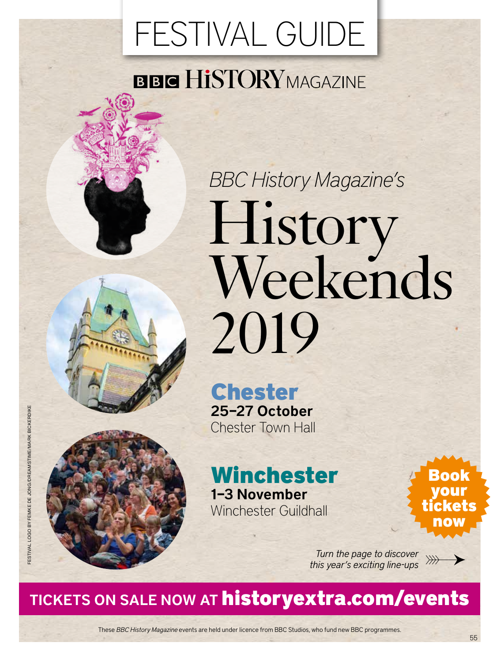### FESTIVAL GUIDE

### **BBC HISTORYMAGAZINE**

# *BBC History Magazine's*  History Weekends 2019

### Chester 25–27 October Chester Town Hall

### Winchester 1–3 November Winchester Guildhall

Book your tickets now

*Turn the page to discover this year's exciting line-ups*

### TICKETS ON SALE NOW AT historyextra.com/events

These *BBC History Magazine* events are held under licence from BBC Studios, who fund new BBC programmes.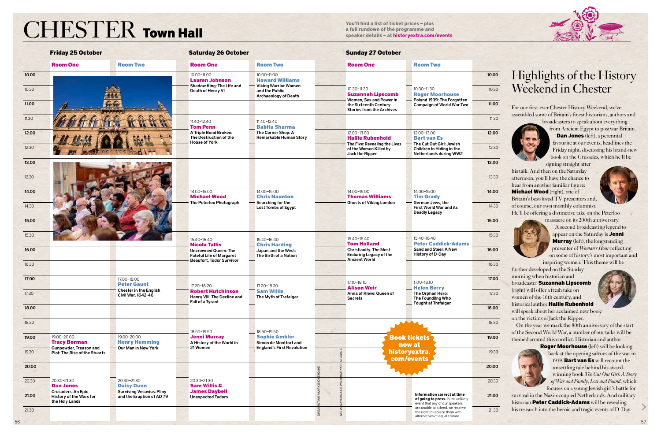# **CHESTER Town Hall** *You'll find a list of ticket prices – plus*<br> *A full rundown of the programme and*<br> *Speaker details – at historyextra.com*

**a full rundown of the programme and speaker details – at historyextra.com/events**

#### 10.30

|       | <b>Friday 25 October</b>                                                                                                                                                  |                                                               | <b>Saturday 26 October</b>                                                             |                                                                                    | <b>Sunday 27 October</b>                                                              |                                                                                                      |       |                                                                                                                                                              |
|-------|---------------------------------------------------------------------------------------------------------------------------------------------------------------------------|---------------------------------------------------------------|----------------------------------------------------------------------------------------|------------------------------------------------------------------------------------|---------------------------------------------------------------------------------------|------------------------------------------------------------------------------------------------------|-------|--------------------------------------------------------------------------------------------------------------------------------------------------------------|
|       | <b>Room One</b>                                                                                                                                                           | <b>Room Two</b>                                               | <b>Room One</b>                                                                        | <b>Room Two</b>                                                                    | <b>Room One</b>                                                                       | <b>Room Two</b>                                                                                      |       |                                                                                                                                                              |
| 10.00 |                                                                                                                                                                           |                                                               | 10.00-11.00<br><b>Lauren Johnson</b>                                                   | 10.00-11.00<br><b>Howard Williams</b>                                              |                                                                                       |                                                                                                      | 10.00 | Highlights of the History<br>Weekend in Chester                                                                                                              |
| 10.30 |                                                                                                                                                                           |                                                               | Shadow King: The Life and<br>Death of Henry VI                                         | <b>Viking Warrior Women</b><br>and the Public<br><b>Archaeology of Death</b>       | 10.30-11.30<br><b>Suzannah Lipscomb</b>                                               | 10.30-11.30<br><b>Roger Moorhouse</b>                                                                | 10.30 |                                                                                                                                                              |
| 11.00 |                                                                                                                                                                           |                                                               |                                                                                        |                                                                                    | Women, Sex and Power in<br>the Sixteenth Century:<br><b>Stories from the Archives</b> | - Poland 1939: The Forgotten<br><b>Campaign of World War Two</b>                                     | 11.00 | For our first-ever Chester History Weekend, we've                                                                                                            |
| 11.30 |                                                                                                                                                                           |                                                               | 11.40-12.40<br><b>Tom Penn</b>                                                         | $11.40 - 12.40$<br><b>Babita Sharma</b>                                            |                                                                                       |                                                                                                      | 11.30 | assembled some of Britain's finest historians, authors and<br>broadcasters to speak about everything                                                         |
| 12.00 |                                                                                                                                                                           |                                                               | A Triple Bond Broken:<br>The Destruction of the                                        | The Corner Shop: A<br><b>Remarkable Human Story</b>                                | 12.00-13.00<br><b>Hallie Rubenhold</b>                                                | 12.00-13.00<br><b>Bart van Es</b>                                                                    | 12.00 | from Ancient Egypt to postwar Britain.<br><b>Dan Jones</b> (left), a perennial                                                                               |
| 12.30 |                                                                                                                                                                           |                                                               | <b>House of York</b>                                                                   |                                                                                    | The Five: Revealing the Lives<br>of the Women Killed by<br>Jack the Ripper            | The Cut Out Girl: Jewish<br>Children in Hiding in the<br>Netherlands during WW2                      | 12.30 | favourite at our events, headlines the<br>Friday night, discussing his brand-new                                                                             |
| 13.00 |                                                                                                                                                                           |                                                               |                                                                                        |                                                                                    |                                                                                       |                                                                                                      | 13.00 | book on the Crusades, which he'll be<br>signing straight after<br>his talk. And then on the Saturday                                                         |
| 13.30 |                                                                                                                                                                           |                                                               |                                                                                        |                                                                                    |                                                                                       |                                                                                                      | 13.30 | afternoon, you'll have the chance to<br>hear from another familiar figure:                                                                                   |
| 14.00 |                                                                                                                                                                           |                                                               | 14.00-15.00<br><b>Michael Wood</b>                                                     | 14.00-15.00<br><b>Chris Naunton</b>                                                | 14.00-15.00<br><b>Thomas Williams</b>                                                 | 14.00-15.00<br><b>Tim Grady</b>                                                                      | 14.00 | Michael Wood (right), one of<br>Britain's best-loved TV presenters and,                                                                                      |
| 14.30 |                                                                                                                                                                           |                                                               | The Peterloo Photograph                                                                | Searching for the<br><b>Lost Tombs of Egypt</b>                                    | <b>Ghosts of Viking London</b>                                                        | German Jews, the<br><b>First World War and its</b><br><b>Deadly Legacy</b>                           | 14.30 | of course, our own monthly columnist.<br>He'll be offering a distinctive take on the Peterloo                                                                |
| 15.00 |                                                                                                                                                                           |                                                               |                                                                                        |                                                                                    |                                                                                       |                                                                                                      | 15.00 | massacre on its 200th anniversary.<br>A second broadcasting legend to                                                                                        |
| 15.30 |                                                                                                                                                                           |                                                               | 15.40-16.40                                                                            | 15.40-16.40                                                                        | 15.40-16.40<br><b>Tom Holland</b>                                                     | 15.40-16.40<br><b>Peter Caddick-Adams</b>                                                            | 15.30 | appear on the Saturday is Jenni<br><b>Murray</b> (left), the longstanding                                                                                    |
| 16.00 |                                                                                                                                                                           |                                                               | <b>Nicola Tallis</b><br><b>Uncrowned Queen: The</b><br><b>Fateful Life of Margaret</b> | - Chris Harding<br>Japan and the West:<br>The Birth of a Nation                    | <b>Christianity: The Most</b><br><b>Enduring Legacy of the</b>                        | Sand and Steel: A New<br><b>History of D-Day</b>                                                     | 16.00 | presenter of Woman's Hour reflecting<br>on some of history's most important and                                                                              |
| 16.30 |                                                                                                                                                                           |                                                               | <b>Beaufort, Tudor Survivor</b>                                                        |                                                                                    | <b>Ancient World</b>                                                                  |                                                                                                      | 16.30 | inspiring women. This theme will be<br>further developed on the Sunday                                                                                       |
| 17.00 |                                                                                                                                                                           | 17.00-18.00<br><b>Peter Gaunt</b>                             | 17.20-18.20                                                                            | 17.20-18.20                                                                        | 17.10-18.10<br><b>Alison Weir</b>                                                     | 17.10-18.10                                                                                          | 17.00 | morning when historian and<br>broadcaster Suzannah Lipscomb                                                                                                  |
| 17.30 |                                                                                                                                                                           | <b>Chester in the English</b><br>Civil War, 1642-46           | <b>Robert Hutchinson</b><br>Henry VIII: The Decline and<br>Fall of a Tyrant            | <b>Sam Willis</b><br>The Myth of Trafalgar                                         | Anna of Kleve: Queen of<br><b>Secrets</b>                                             | <b>Helen Berry</b><br>The Orphan Hero:<br>The Foundling Who                                          | 17.30 | (right) will offer a fresh take on<br>women of the 16th century, and                                                                                         |
| 18.00 |                                                                                                                                                                           |                                                               |                                                                                        |                                                                                    |                                                                                       | <b>Fought at Trafalgar</b>                                                                           | 18.00 | historical author Hallie Rubenhold<br>will speak about her acclaimed new book                                                                                |
| 18.30 |                                                                                                                                                                           |                                                               | 18.50-19.50                                                                            | 18.50-19.50                                                                        |                                                                                       |                                                                                                      | 18.30 | on the victims of Jack the Ripper.<br>On the year we mark the 80th anniversary of the start                                                                  |
| 19.00 | 19.00-20.00<br>19.00-20.00<br><b>Henry Hemming</b><br><b>Tracy Borman</b><br>Our Man in New York<br><b>Gunpowder, Treason and</b><br><b>Plot: The Rise of the Stuarts</b> |                                                               | <b>Jenni Murray</b><br>A History of the World in<br>21 Women                           | <b>Sophie Ambler</b><br>Simon de Montfort and<br><b>England's First Revolution</b> | <b>Book tickets</b><br>now at                                                         |                                                                                                      | 19.00 | of the Second World War, a number of our talks will be<br>themed around this conflict. Historian and author<br><b>Roger Moorhouse</b> (left) will be looking |
| 19.30 |                                                                                                                                                                           |                                                               |                                                                                        |                                                                                    | historyextra.<br>com/events                                                           |                                                                                                      | 19.30 | back at the opening salvoes of the war in<br>1939. Bart van Es will recount the                                                                              |
| 20.00 |                                                                                                                                                                           |                                                               |                                                                                        |                                                                                    |                                                                                       |                                                                                                      | 20.00 | unsettling tale behind his award-<br>winning book The Cut Out Girl: A Story                                                                                  |
| 20.30 | 20.30-21.30<br><b>Dan Jones</b>                                                                                                                                           | 20.30-21.30<br><b>Daisy Dunn</b>                              | 20.30-21.30<br><b>Sam Willis &amp;</b>                                                 |                                                                                    |                                                                                       |                                                                                                      | 20.30 | of War and Family, Lost and Found, which<br>focuses on a young Jewish girl's battle for                                                                      |
| 21.00 | <b>Crusaders: An Epic</b><br><b>History of the Wars for</b><br>the Holy Lands                                                                                             | <b>Surviving Vesuvius: Pliny</b><br>and the Eruption of AD 79 | <b>James Daybell</b><br><b>Unexpected Tudors</b>                                       |                                                                                    |                                                                                       | Information correct at time<br>of going to press. In the unlikely<br>event that any of our speakers  | 21.00 | survival in the Nazi-occupied Netherlands. And military<br>historian Peter Caddick-Adams will be revealing                                                   |
| 21.30 |                                                                                                                                                                           |                                                               |                                                                                        |                                                                                    |                                                                                       | are unable to attend, we reserve<br>the right to replace them with<br>alternatives of equal stature. | 21.30 | his research into the heroic and tragic events of D-Day.                                                                                                     |

### Highlights of the History Weekend in Chester

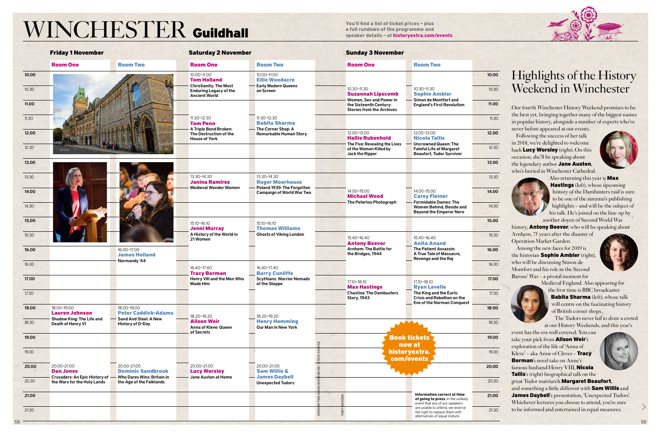## **a** full find a list of ticket prices – plus<br>a full rundown of the programme and<br>speaker details – at historyextra.com/events

**You'll find a list of ticket prices – plus** 



|       | <b>Friday 1 November</b>                                            |                                                               | <b>Saturday 2 November</b>                                                             |                                                                            | <b>Sunday 3 November</b>                                                              |                                                                                                      |       |                                                                                                                            |
|-------|---------------------------------------------------------------------|---------------------------------------------------------------|----------------------------------------------------------------------------------------|----------------------------------------------------------------------------|---------------------------------------------------------------------------------------|------------------------------------------------------------------------------------------------------|-------|----------------------------------------------------------------------------------------------------------------------------|
|       | <b>Room One</b>                                                     | <b>Room Two</b>                                               | <b>Room One</b>                                                                        | <b>Room Two</b>                                                            | <b>Room One</b>                                                                       | <b>Room Two</b>                                                                                      |       |                                                                                                                            |
| 10.00 |                                                                     |                                                               | 10.00-11.00<br><b>Tom Holland</b>                                                      | 10.00-11.00<br><b>Ellie Woodacre</b>                                       |                                                                                       |                                                                                                      | 10.00 | Highlights of the History<br>Weekend in Winchester                                                                         |
| 10.30 |                                                                     |                                                               | <b>Christianity: The Most</b><br><b>Enduring Legacy of the</b><br><b>Ancient World</b> | <b>Early Modern Queens</b><br>on Screen                                    | 10.30-11.30<br><b>Suzannah Lipscomb</b>                                               | 10.30-11.30<br><b>Sophie Ambler</b>                                                                  | 10.30 |                                                                                                                            |
| 11.00 |                                                                     |                                                               |                                                                                        |                                                                            | Women, Sex and Power in<br>the Sixteenth Century:<br><b>Stories from the Archives</b> | - Simon de Montfort and<br><b>England's First Revolution</b>                                         | 11.00 | Our fourth Winchester History Weekend promises to be                                                                       |
| 11.30 |                                                                     |                                                               | 11.30-12.30<br><b>Tom Penn</b>                                                         | 11.30-12.30<br><b>Babita Sharma</b>                                        |                                                                                       |                                                                                                      | 11.30 | the best yet, bringing together many of the biggest names<br>in popular history, alongside a number of experts who've      |
| 12.00 |                                                                     |                                                               | A Triple Bond Broken:<br>The Destruction of the<br><b>House of York</b>                | - The Corner Shop: A<br><b>Remarkable Human Story</b>                      | 12.00-13.00<br><b>Hallie Rubenhold</b>                                                | 12.00-13.00<br><b>Nicola Tallis</b>                                                                  | 12.00 | never before appeared at our events.<br>Following the success of her talk                                                  |
| 12.30 |                                                                     |                                                               |                                                                                        |                                                                            | The Five: Revealing the Lives<br>of the Women Killed by<br>Jack the Ripper            | Uncrowned Queen: The<br><b>Fateful Life of Margaret</b><br><b>Beaufort, Tudor Survivor</b>           | 12.30 | in 2018, we're delighted to welcome<br>back Lucy Worsley (right). On this                                                  |
| 13.00 |                                                                     |                                                               |                                                                                        |                                                                            |                                                                                       |                                                                                                      | 13.00 | occasion, she'll be speaking about<br>the legendary author Jane Austen,                                                    |
| 13.30 |                                                                     |                                                               | 13.30-14.30<br><b>Janina Ramirez</b>                                                   | 13.30-14.30<br><b>Roger Moorhouse</b>                                      |                                                                                       |                                                                                                      | 13.30 | who's buried in Winchester Cathedral.<br>Also returning this year is Max                                                   |
| 14.00 |                                                                     |                                                               | <b>Medieval Wonder Women</b>                                                           | Poland 1939: The Forgotten<br><b>Campaign of World War Two</b>             | 14.00-15.00<br><b>Michael Wood</b>                                                    | 14.00-15.00<br><b>Carey Fleiner</b>                                                                  | 14.00 | <b>Hastings</b> (left), whose upcoming<br>history of the Dambusters raid is sure                                           |
| 14.30 |                                                                     |                                                               |                                                                                        |                                                                            | The Peterloo Photograph                                                               | <b>Formidable Dames: The</b><br>Women Behind, Beside and<br><b>Beyond the Emperor Nero</b>           | 14.30 | to be one of the autumn's publishing<br>highlights - and will be the subject of<br>his talk. He's joined on the line-up by |
| 15.00 |                                                                     |                                                               | 15.10-16.10<br><b>Jenni Murray</b>                                                     | 15.10-16.10<br><b>Thomas Williams</b>                                      |                                                                                       |                                                                                                      | 15.00 | another doyen of Second World War<br>history, <b>Antony Beevor</b> , who will be speaking about                            |
| 15.30 |                                                                     |                                                               | A History of the World in<br>21 Women                                                  | <b>Ghosts of Viking London</b>                                             | 15.40-16.40<br><b>Antony Beevor</b>                                                   | 15.40-16.40<br><b>Anita Anand</b>                                                                    | 15.30 | Arnhem, 75 years after the disaster of<br><b>Operation Market Garden.</b>                                                  |
| 16.00 |                                                                     | 16.00-17.00<br><b>James Holland</b>                           |                                                                                        |                                                                            | <b>Arnhem: The Battle for</b><br>the Bridges, 1944                                    | <b>The Patient Assassin:</b><br>A True Tale of Massacre,                                             | 16.00 | Among the new faces for 2019 is<br>the historian Sophie Ambler (right),                                                    |
| 16.30 |                                                                     | Normandy '44                                                  | 16.40-17.40                                                                            | 16.40-17.40                                                                |                                                                                       | <b>Revenge and the Raj</b>                                                                           | 16.30 | who will be discussing Simon de<br>Montfort and his role in the Second                                                     |
| 17.00 |                                                                     |                                                               | <b>Tracy Borman</b><br>Henry VIII and the Men Who<br><b>Made Him</b>                   | <b>Barry Cunliffe</b><br><b>Scythians: Warrior Nomads</b><br>of the Steppe | 17.10-18.10<br><b>Max Hastings</b>                                                    | 17.10-18.10<br><b>Rvan Lavelle</b>                                                                   | 17.00 | Barons' War - a pivotal moment for<br>Medieval England. Also appearing for                                                 |
| 17.30 |                                                                     |                                                               |                                                                                        |                                                                            | <b>Chastise: The Dambusters</b><br><b>Story, 1943</b>                                 | The King and the Earls:<br><b>Crisis and Rebellion on the</b>                                        | 17.30 | the first time is BBC broadcaster<br><b>Babita Sharma</b> (left), whose talk                                               |
| 18.00 | 18.00-19.00<br><b>Lauren Johnson</b>                                | 18.00-19.00<br><b>Peter Caddick-Adams</b>                     | 18.20-19.20                                                                            | 18.20-19.20                                                                |                                                                                       | Eve of the Norman Conquest                                                                           | 18.00 | will centre on the fascinating history<br>of British corner shops.                                                         |
| 18.30 | Shadow King: The Life and<br>Death of Henry VI                      | <b>Sand And Steel: A New</b><br><b>History of D-Day</b>       | <b>Alison Weir</b><br><b>Anna of Kleve: Queen</b>                                      | <b>Henry Hemming</b><br><b>Our Man in New York</b>                         | $\blacktriangle$                                                                      |                                                                                                      | 18.30 | The Tudors never fail to draw a crowd<br>at our History Weekends, and this year's                                          |
| 19.00 |                                                                     |                                                               | of Secrets                                                                             |                                                                            | <b>Book tickets</b><br>now at                                                         |                                                                                                      | 19.00 | event has the era well covered. You can<br>take your pick from Alison Weir's                                               |
| 19.30 |                                                                     |                                                               |                                                                                        |                                                                            | historyextra.<br>com/events                                                           |                                                                                                      | 19.30 | exploration of the life of 'Anna of<br>Kleve' - aka Anne of Cleves - Tracy<br><b>Borman's novel take on Anne's</b>         |
| 20.00 | 20.00-21.00<br><b>Dan Jones</b>                                     | 20.00-21.00<br><b>Dominic Sandbrook</b>                       |                                                                                        | 20.00-21.00<br><b>Sam Willis &amp;</b>                                     |                                                                                       |                                                                                                      |       | famous husband Henry VIII, Nicola<br>Tallis's (right) biographical talk on the                                             |
| 20.30 | <b>Crusaders: An Epic History of</b><br>the Wars for the Holy Lands | <b>Who Dares Wins: Britain in</b><br>the Age of the Falklands | Jane Austen at Home                                                                    | <b>James Daybell</b><br><b>Unexpected Tudors</b>                           |                                                                                       |                                                                                                      | 20.30 | great Tudor matriarch Margaret Beaufort,<br>and something a little different with Sam Willis and                           |
| 21.00 |                                                                     |                                                               |                                                                                        |                                                                            |                                                                                       | Information correct at time<br>of going to press. In the unlikely<br>event that any of our speakers  | 21.00 | James Daybell's presentation, 'Unexpected Tudors'.<br>Whichever lectures you choose to attend, you're sure                 |
| 21.30 |                                                                     |                                                               |                                                                                        |                                                                            |                                                                                       | are unable to attend, we reserve<br>the right to replace them with<br>alternatives of equal stature. | 21.30 | to be informed and entertained in equal measures.                                                                          |

### Highlights of the History Weekend in Winchester